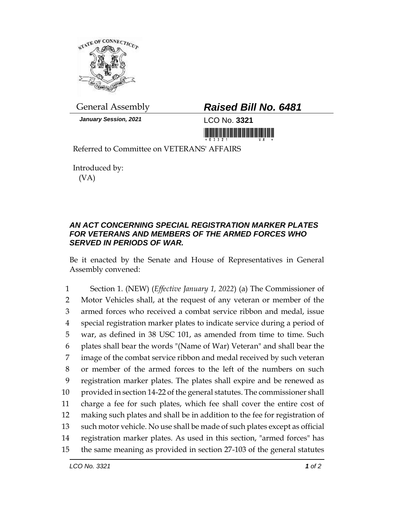

*January Session, 2021* LCO No. **3321**

## General Assembly *Raised Bill No. 6481*

Referred to Committee on VETERANS' AFFAIRS

Introduced by: (VA)

## *AN ACT CONCERNING SPECIAL REGISTRATION MARKER PLATES FOR VETERANS AND MEMBERS OF THE ARMED FORCES WHO SERVED IN PERIODS OF WAR.*

Be it enacted by the Senate and House of Representatives in General Assembly convened:

 Section 1. (NEW) (*Effective January 1, 2022*) (a) The Commissioner of Motor Vehicles shall, at the request of any veteran or member of the armed forces who received a combat service ribbon and medal, issue special registration marker plates to indicate service during a period of war, as defined in 38 USC 101, as amended from time to time. Such plates shall bear the words "(Name of War) Veteran" and shall bear the image of the combat service ribbon and medal received by such veteran or member of the armed forces to the left of the numbers on such registration marker plates. The plates shall expire and be renewed as provided in section 14-22 of the general statutes. The commissioner shall charge a fee for such plates, which fee shall cover the entire cost of making such plates and shall be in addition to the fee for registration of such motor vehicle. No use shall be made of such plates except as official registration marker plates. As used in this section, "armed forces" has the same meaning as provided in section 27-103 of the general statutes